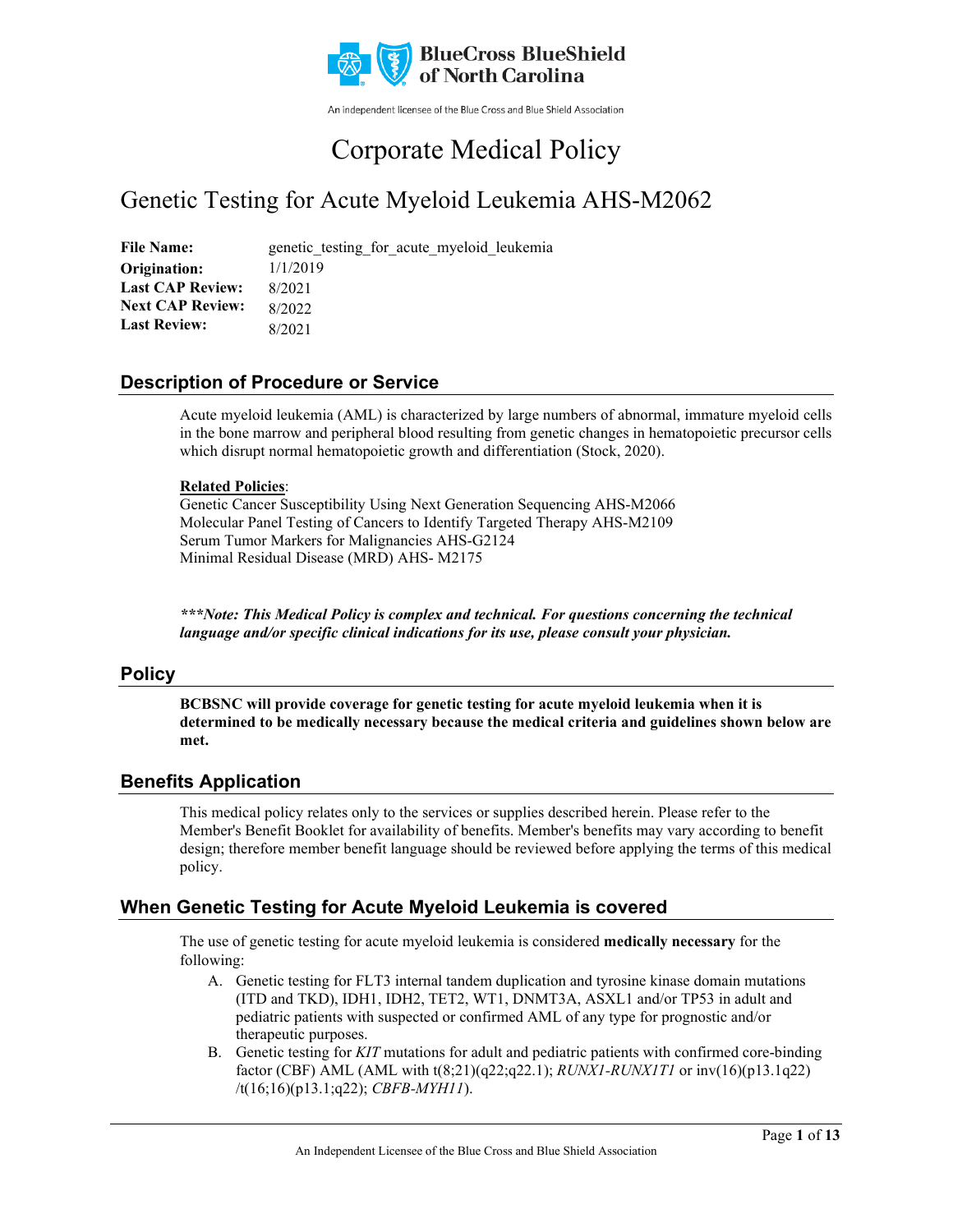

An independent licensee of the Blue Cross and Blue Shield Association

# Corporate Medical Policy

## Genetic Testing for Acute Myeloid Leukemia AHS-M2062

File Name: genetic testing for acute myeloid leukemia 1/1/2019 8/2021 8/2022 8/2021 **Origination: Last CAP Review: Next CAP Review: Last Review:**

### **Description of Procedure or Service**

Acute myeloid leukemia (AML) is characterized by large numbers of abnormal, immature myeloid cells in the bone marrow and peripheral blood resulting from genetic changes in hematopoietic precursor cells which disrupt normal hematopoietic growth and differentiation (Stock, 2020).

#### **Related Policies**:

Genetic Cancer Susceptibility Using Next Generation Sequencing AHS-M2066 Molecular Panel Testing of Cancers to Identify Targeted Therapy AHS-M2109 Serum Tumor Markers for Malignancies AHS-G2124 Minimal Residual Disease (MRD) AHS- M2175

*\*\*\*Note: This Medical Policy is complex and technical. For questions concerning the technical language and/or specific clinical indications for its use, please consult your physician.*

### **Policy**

**BCBSNC will provide coverage for genetic testing for acute myeloid leukemia when it is determined to be medically necessary because the medical criteria and guidelines shown below are met.**

### **Benefits Application**

This medical policy relates only to the services or supplies described herein. Please refer to the Member's Benefit Booklet for availability of benefits. Member's benefits may vary according to benefit design; therefore member benefit language should be reviewed before applying the terms of this medical policy.

### **When Genetic Testing for Acute Myeloid Leukemia is covered**

The use of genetic testing for acute myeloid leukemia is considered **medically necessary** for the following:

- A. Genetic testing for FLT3 internal tandem duplication and tyrosine kinase domain mutations (ITD and TKD), IDH1, IDH2, TET2, WT1, DNMT3A, ASXL1 and/or TP53 in adult and pediatric patients with suspected or confirmed AML of any type for prognostic and/or therapeutic purposes.
- B. Genetic testing for *KIT* mutations for adult and pediatric patients with confirmed core-binding factor (CBF) AML (AML with t(8;21)(q22;q22.1); *RUNX1-RUNX1T1* or inv(16)(p13.1q22) /t(16;16)(p13.1;q22); *CBFB-MYH11*).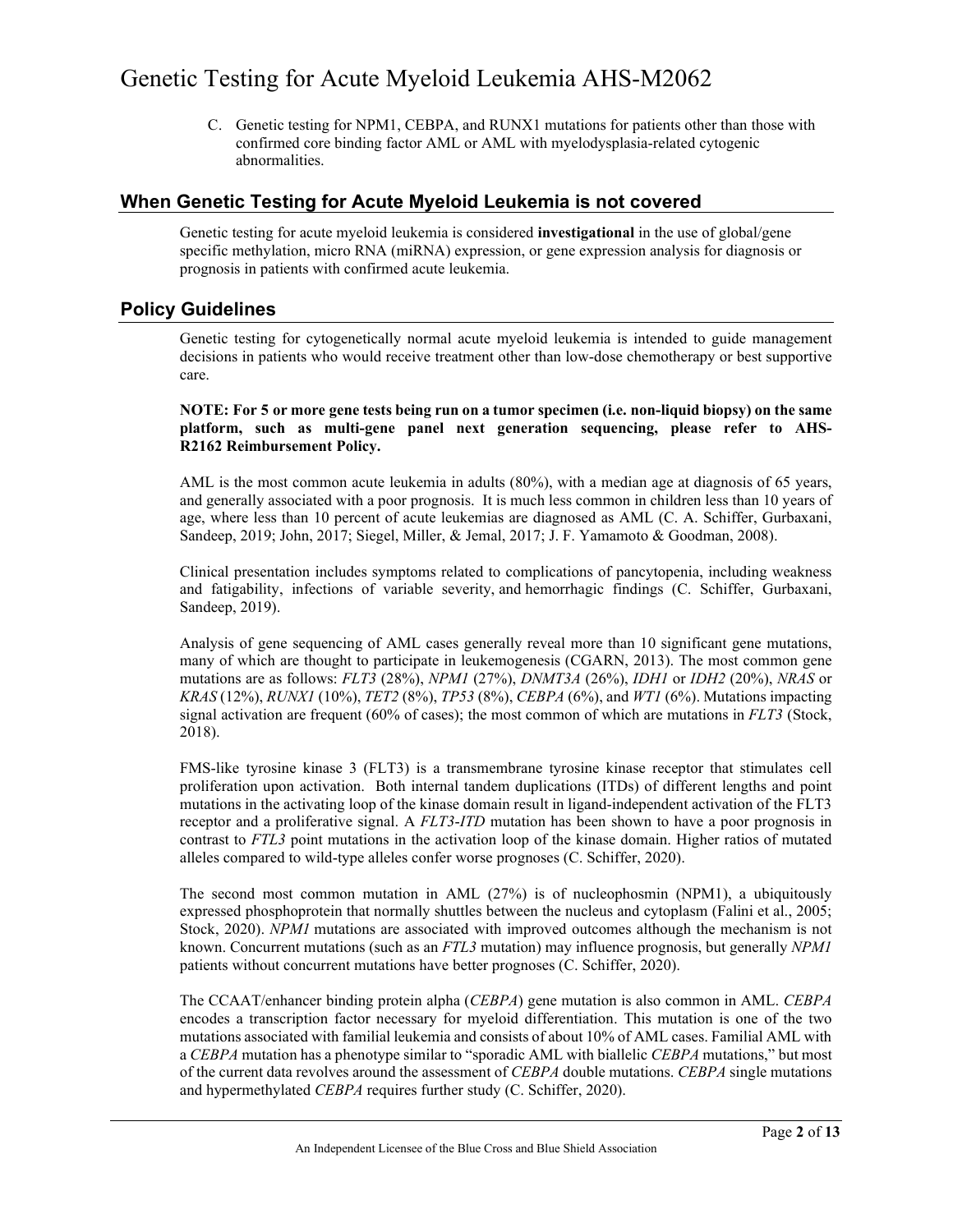C. Genetic testing for NPM1, CEBPA, and RUNX1 mutations for patients other than those with confirmed core binding factor AML or AML with myelodysplasia-related cytogenic abnormalities.

### **When Genetic Testing for Acute Myeloid Leukemia is not covered**

Genetic testing for acute myeloid leukemia is considered **investigational** in the use of global/gene specific methylation, micro RNA (miRNA) expression, or gene expression analysis for diagnosis or prognosis in patients with confirmed acute leukemia.

### **Policy Guidelines**

Genetic testing for cytogenetically normal acute myeloid leukemia is intended to guide management decisions in patients who would receive treatment other than low-dose chemotherapy or best supportive care.

**NOTE: For 5 or more gene tests being run on a tumor specimen (i.e. non-liquid biopsy) on the same platform, such as multi-gene panel next generation sequencing, please refer to AHS-R2162 Reimbursement Policy.**

AML is the most common acute leukemia in adults (80%), with a median age at diagnosis of 65 years, and generally associated with a poor prognosis. It is much less common in children less than 10 years of age, where less than 10 percent of acute leukemias are diagnosed as AML (C. A. Schiffer, Gurbaxani, Sandeep, 2019; John, 2017; Siegel, Miller, & Jemal, 2017; J. F. Yamamoto & Goodman, 2008).

Clinical presentation includes symptoms related to complications of pancytopenia, including weakness and fatigability, infections of variable severity, and hemorrhagic findings (C. Schiffer, Gurbaxani, Sandeep, 2019).

Analysis of gene sequencing of AML cases generally reveal more than 10 significant gene mutations, many of which are thought to participate in leukemogenesis (CGARN, 2013). The most common gene mutations are as follows: *FLT3* (28%), *NPM1* (27%), *DNMT3A* (26%), *IDH1* or *IDH2* (20%), *NRAS* or *KRAS* (12%), *RUNX1* (10%), *TET2* (8%), *TP53* (8%), *CEBPA* (6%), and *WT1* (6%). Mutations impacting signal activation are frequent (60% of cases); the most common of which are mutations in *FLT3* (Stock, 2018).

FMS-like tyrosine kinase 3 (FLT3) is a transmembrane tyrosine kinase receptor that stimulates cell proliferation upon activation. Both internal tandem duplications (ITDs) of different lengths and point mutations in the activating loop of the kinase domain result in ligand-independent activation of the FLT3 receptor and a proliferative signal. A *FLT3*-*ITD* mutation has been shown to have a poor prognosis in contrast to *FTL3* point mutations in the activation loop of the kinase domain. Higher ratios of mutated alleles compared to wild-type alleles confer worse prognoses (C. Schiffer, 2020).

The second most common mutation in AML (27%) is of nucleophosmin (NPM1), a ubiquitously expressed phosphoprotein that normally shuttles between the nucleus and cytoplasm (Falini et al., 2005; Stock, 2020). *NPM1* mutations are associated with improved outcomes although the mechanism is not known. Concurrent mutations (such as an *FTL3* mutation) may influence prognosis, but generally *NPM1* patients without concurrent mutations have better prognoses (C. Schiffer, 2020).

The CCAAT/enhancer binding protein alpha (*CEBPA*) gene mutation is also common in AML. *CEBPA* encodes a transcription factor necessary for myeloid differentiation. This mutation is one of the two mutations associated with familial leukemia and consists of about 10% of AML cases. Familial AML with a *CEBPA* mutation has a phenotype similar to "sporadic AML with biallelic *CEBPA* mutations," but most of the current data revolves around the assessment of *CEBPA* double mutations. *CEBPA* single mutations and hypermethylated *CEBPA* requires further study (C. Schiffer, 2020).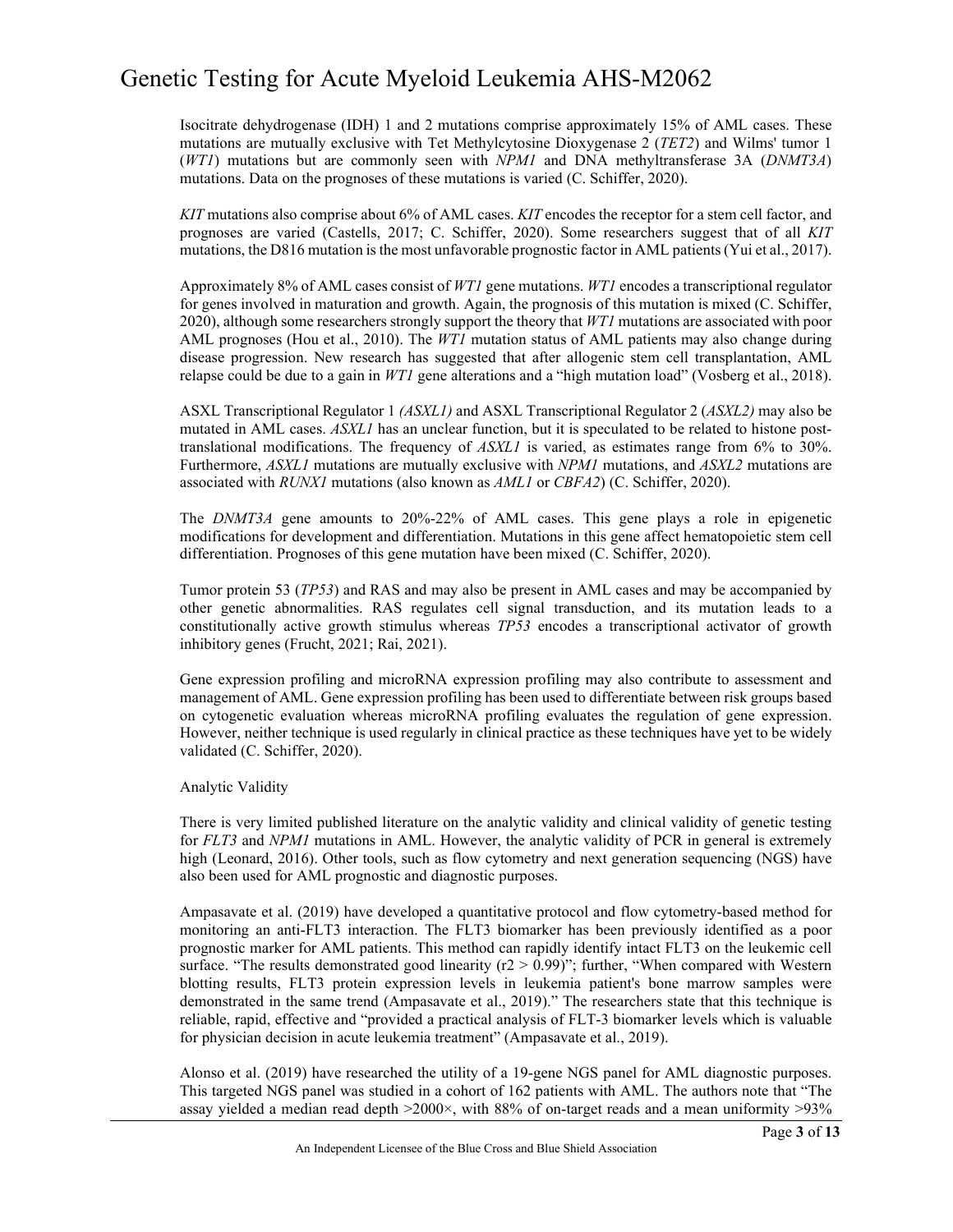Isocitrate dehydrogenase (IDH) 1 and 2 mutations comprise approximately 15% of AML cases. These mutations are mutually exclusive with Tet Methylcytosine Dioxygenase 2 (*TET2*) and Wilms' tumor 1 (*WT1*) mutations but are commonly seen with *NPM1* and DNA methyltransferase 3A (*DNMT3A*) mutations. Data on the prognoses of these mutations is varied (C. Schiffer, 2020).

*KIT* mutations also comprise about 6% of AML cases. *KIT* encodes the receptor for a stem cell factor, and prognoses are varied (Castells, 2017; C. Schiffer, 2020). Some researchers suggest that of all *KIT* mutations, the D816 mutation is the most unfavorable prognostic factor in AML patients (Yui et al., 2017).

Approximately 8% of AML cases consist of *WT1* gene mutations. *WT1* encodes a transcriptional regulator for genes involved in maturation and growth. Again, the prognosis of this mutation is mixed (C. Schiffer, 2020), although some researchers strongly support the theory that *WT1* mutations are associated with poor AML prognoses (Hou et al., 2010). The *WT1* mutation status of AML patients may also change during disease progression. New research has suggested that after allogenic stem cell transplantation, AML relapse could be due to a gain in *WT1* gene alterations and a "high mutation load" (Vosberg et al., 2018).

ASXL Transcriptional Regulator 1 *(ASXL1)* and ASXL Transcriptional Regulator 2 (*ASXL2)* may also be mutated in AML cases. *ASXL1* has an unclear function, but it is speculated to be related to histone posttranslational modifications. The frequency of *ASXL1* is varied, as estimates range from 6% to 30%. Furthermore, *ASXL1* mutations are mutually exclusive with *NPM1* mutations, and *ASXL2* mutations are associated with *RUNX1* mutations (also known as *AML1* or *CBFA2*) (C. Schiffer, 2020).

The *DNMT3A* gene amounts to 20%-22% of AML cases. This gene plays a role in epigenetic modifications for development and differentiation. Mutations in this gene affect hematopoietic stem cell differentiation. Prognoses of this gene mutation have been mixed (C. Schiffer, 2020).

Tumor protein 53 (*TP53*) and RAS and may also be present in AML cases and may be accompanied by other genetic abnormalities. RAS regulates cell signal transduction, and its mutation leads to a constitutionally active growth stimulus whereas *TP53* encodes a transcriptional activator of growth inhibitory genes (Frucht, 2021; Rai, 2021).

Gene expression profiling and microRNA expression profiling may also contribute to assessment and management of AML. Gene expression profiling has been used to differentiate between risk groups based on cytogenetic evaluation whereas microRNA profiling evaluates the regulation of gene expression. However, neither technique is used regularly in clinical practice as these techniques have yet to be widely validated (C. Schiffer, 2020).

#### Analytic Validity

There is very limited published literature on the analytic validity and clinical validity of genetic testing for *FLT3* and *NPM1* mutations in AML. However, the analytic validity of PCR in general is extremely high (Leonard, 2016). Other tools, such as flow cytometry and next generation sequencing (NGS) have also been used for AML prognostic and diagnostic purposes.

Ampasavate et al. (2019) have developed a quantitative protocol and flow cytometry-based method for monitoring an anti-FLT3 interaction. The FLT3 biomarker has been previously identified as a poor prognostic marker for AML patients. This method can rapidly identify intact FLT3 on the leukemic cell surface. "The results demonstrated good linearity  $(r2 > 0.99)$ "; further, "When compared with Western blotting results, FLT3 protein expression levels in leukemia patient's bone marrow samples were demonstrated in the same trend (Ampasavate et al., 2019)." The researchers state that this technique is reliable, rapid, effective and "provided a practical analysis of FLT-3 biomarker levels which is valuable for physician decision in acute leukemia treatment" (Ampasavate et al., 2019).

Alonso et al. (2019) have researched the utility of a 19-gene NGS panel for AML diagnostic purposes. This targeted NGS panel was studied in a cohort of 162 patients with AML. The authors note that "The assay yielded a median read depth  $>2000\times$ , with 88% of on-target reads and a mean uniformity  $>93\%$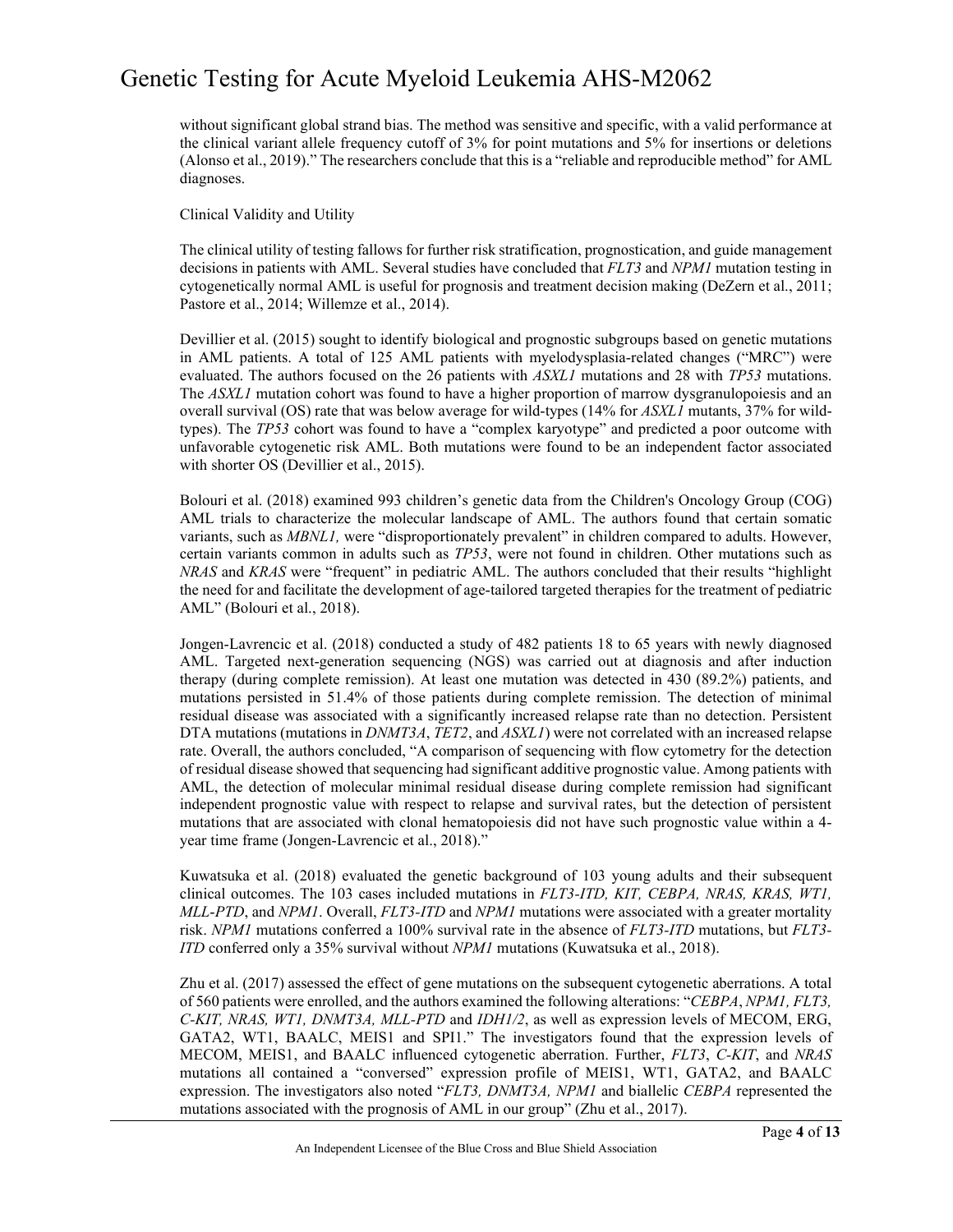without significant global strand bias. The method was sensitive and specific, with a valid performance at the clinical variant allele frequency cutoff of 3% for point mutations and 5% for insertions or deletions (Alonso et al., 2019)." The researchers conclude that this is a "reliable and reproducible method" for AML diagnoses.

Clinical Validity and Utility

The clinical utility of testing fallows for further risk stratification, prognostication, and guide management decisions in patients with AML. Several studies have concluded that *FLT3* and *NPM1* mutation testing in cytogenetically normal AML is useful for prognosis and treatment decision making (DeZern et al., 2011; Pastore et al., 2014; Willemze et al., 2014).

Devillier et al. (2015) sought to identify biological and prognostic subgroups based on genetic mutations in AML patients. A total of 125 AML patients with myelodysplasia-related changes ("MRC") were evaluated. The authors focused on the 26 patients with *ASXL1* mutations and 28 with *TP53* mutations. The *ASXL1* mutation cohort was found to have a higher proportion of marrow dysgranulopoiesis and an overall survival (OS) rate that was below average for wild-types (14% for *ASXL1* mutants, 37% for wildtypes). The *TP53* cohort was found to have a "complex karyotype" and predicted a poor outcome with unfavorable cytogenetic risk AML. Both mutations were found to be an independent factor associated with shorter OS (Devillier et al., 2015).

Bolouri et al. (2018) examined 993 children's genetic data from the Children's Oncology Group (COG) AML trials to characterize the molecular landscape of AML. The authors found that certain somatic variants, such as *MBNL1,* were "disproportionately prevalent" in children compared to adults. However, certain variants common in adults such as *TP53*, were not found in children. Other mutations such as *NRAS* and *KRAS* were "frequent" in pediatric AML. The authors concluded that their results "highlight the need for and facilitate the development of age-tailored targeted therapies for the treatment of pediatric AML" (Bolouri et al., 2018).

Jongen-Lavrencic et al. (2018) conducted a study of 482 patients 18 to 65 years with newly diagnosed AML. Targeted next-generation sequencing (NGS) was carried out at diagnosis and after induction therapy (during complete remission). At least one mutation was detected in 430 (89.2%) patients, and mutations persisted in 51.4% of those patients during complete remission. The detection of minimal residual disease was associated with a significantly increased relapse rate than no detection. Persistent DTA mutations (mutations in *DNMT3A*, *TET2*, and *ASXL1*) were not correlated with an increased relapse rate. Overall, the authors concluded, "A comparison of sequencing with flow cytometry for the detection of residual disease showed that sequencing had significant additive prognostic value. Among patients with AML, the detection of molecular minimal residual disease during complete remission had significant independent prognostic value with respect to relapse and survival rates, but the detection of persistent mutations that are associated with clonal hematopoiesis did not have such prognostic value within a 4 year time frame (Jongen-Lavrencic et al., 2018)."

Kuwatsuka et al. (2018) evaluated the genetic background of 103 young adults and their subsequent clinical outcomes. The 103 cases included mutations in *FLT3-ITD, KIT, CEBPA, NRAS, KRAS, WT1, MLL*-*PTD*, and *NPM1*. Overall, *FLT3-ITD* and *NPM1* mutations were associated with a greater mortality risk. *NPM1* mutations conferred a 100% survival rate in the absence of *FLT3-ITD* mutations, but *FLT3- ITD* conferred only a 35% survival without *NPM1* mutations (Kuwatsuka et al., 2018).

Zhu et al. (2017) assessed the effect of gene mutations on the subsequent cytogenetic aberrations. A total of 560 patients were enrolled, and the authors examined the following alterations: "*CEBPA*, *NPM1, FLT3, C-KIT, NRAS, WT1, DNMT3A, MLL-PTD* and *IDH1/2*, as well as expression levels of MECOM, ERG, GATA2, WT1, BAALC, MEIS1 and SPI1." The investigators found that the expression levels of MECOM, MEIS1, and BAALC influenced cytogenetic aberration. Further, *FLT3*, *C-KIT*, and *NRAS* mutations all contained a "conversed" expression profile of MEIS1, WT1, GATA2, and BAALC expression. The investigators also noted "*FLT3, DNMT3A, NPM1* and biallelic *CEBPA* represented the mutations associated with the prognosis of AML in our group" (Zhu et al., 2017).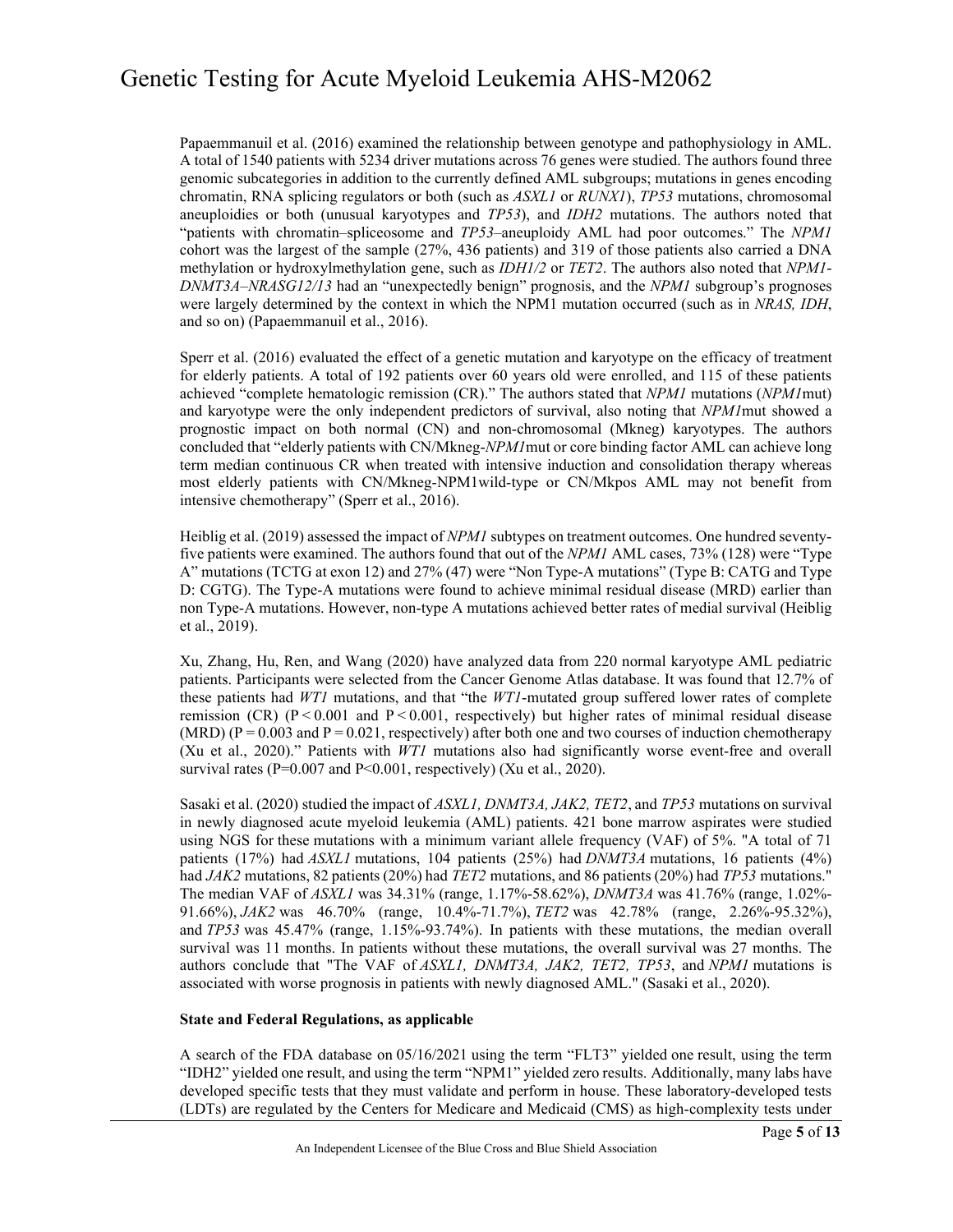Papaemmanuil et al. (2016) examined the relationship between genotype and pathophysiology in AML. A total of 1540 patients with 5234 driver mutations across 76 genes were studied. The authors found three genomic subcategories in addition to the currently defined AML subgroups; mutations in genes encoding chromatin, RNA splicing regulators or both (such as *ASXL1* or *RUNX1*), *TP53* mutations, chromosomal aneuploidies or both (unusual karyotypes and *TP53*), and *IDH2* mutations. The authors noted that "patients with chromatin–spliceosome and *TP53*–aneuploidy AML had poor outcomes." The *NPM1* cohort was the largest of the sample (27%, 436 patients) and 319 of those patients also carried a DNA methylation or hydroxylmethylation gene, such as *IDH1/2* or *TET2*. The authors also noted that *NPM1*- *DNMT3A–NRASG12/13* had an "unexpectedly benign" prognosis, and the *NPM1* subgroup's prognoses were largely determined by the context in which the NPM1 mutation occurred (such as in *NRAS, IDH*, and so on) (Papaemmanuil et al., 2016).

Sperr et al. (2016) evaluated the effect of a genetic mutation and karyotype on the efficacy of treatment for elderly patients. A total of 192 patients over 60 years old were enrolled, and 115 of these patients achieved "complete hematologic remission (CR)." The authors stated that *NPM1* mutations (*NPM1*mut) and karyotype were the only independent predictors of survival, also noting that *NPM1*mut showed a prognostic impact on both normal (CN) and non-chromosomal (Mkneg) karyotypes. The authors concluded that "elderly patients with CN/Mkneg-*NPM1*mut or core binding factor AML can achieve long term median continuous CR when treated with intensive induction and consolidation therapy whereas most elderly patients with CN/Mkneg-NPM1wild-type or CN/Mkpos AML may not benefit from intensive chemotherapy" (Sperr et al., 2016).

Heiblig et al. (2019) assessed the impact of *NPM1* subtypes on treatment outcomes. One hundred seventyfive patients were examined. The authors found that out of the *NPM1* AML cases, 73% (128) were "Type A" mutations (TCTG at exon 12) and 27% (47) were "Non Type-A mutations" (Type B: CATG and Type D: CGTG). The Type-A mutations were found to achieve minimal residual disease (MRD) earlier than non Type-A mutations. However, non-type A mutations achieved better rates of medial survival (Heiblig et al., 2019).

Xu, Zhang, Hu, Ren, and Wang (2020) have analyzed data from 220 normal karyotype AML pediatric patients. Participants were selected from the Cancer Genome Atlas database. It was found that 12.7% of these patients had *WT1* mutations, and that "the *WT1*-mutated group suffered lower rates of complete remission (CR) ( $P < 0.001$  and  $P < 0.001$ , respectively) but higher rates of minimal residual disease (MRD) ( $P = 0.003$  and  $P = 0.021$ , respectively) after both one and two courses of induction chemotherapy (Xu et al., 2020)." Patients with *WT1* mutations also had significantly worse event-free and overall survival rates ( $P=0.007$  and  $P<0.001$ , respectively) (Xu et al., 2020).

Sasaki et al. (2020) studied the impact of *ASXL1, DNMT3A, JAK2, TET2*, and *TP53* mutations on survival in newly diagnosed acute myeloid leukemia (AML) patients. 421 bone marrow aspirates were studied using NGS for these mutations with a minimum variant allele frequency (VAF) of 5%. "A total of 71 patients (17%) had *ASXL1* mutations, 104 patients (25%) had *DNMT3A* mutations, 16 patients (4%) had *JAK2* mutations, 82 patients (20%) had *TET2* mutations, and 86 patients (20%) had *TP53* mutations." The median VAF of *ASXL1* was 34.31% (range, 1.17%‐58.62%), *DNMT3A* was 41.76% (range, 1.02%‐ 91.66%), *JAK2* was 46.70% (range, 10.4%‐71.7%), *TET2* was 42.78% (range, 2.26%‐95.32%), and *TP53* was 45.47% (range, 1.15%‐93.74%). In patients with these mutations, the median overall survival was 11 months. In patients without these mutations, the overall survival was 27 months. The authors conclude that "The VAF of *ASXL1, DNMT3A, JAK2, TET2, TP53*, and *NPM1* mutations is associated with worse prognosis in patients with newly diagnosed AML." (Sasaki et al., 2020).

#### **State and Federal Regulations, as applicable**

A search of the FDA database on 05/16/2021 using the term "FLT3" yielded one result, using the term "IDH2" yielded one result, and using the term "NPM1" yielded zero results. Additionally, many labs have developed specific tests that they must validate and perform in house. These laboratory-developed tests (LDTs) are regulated by the Centers for Medicare and Medicaid (CMS) as high-complexity tests under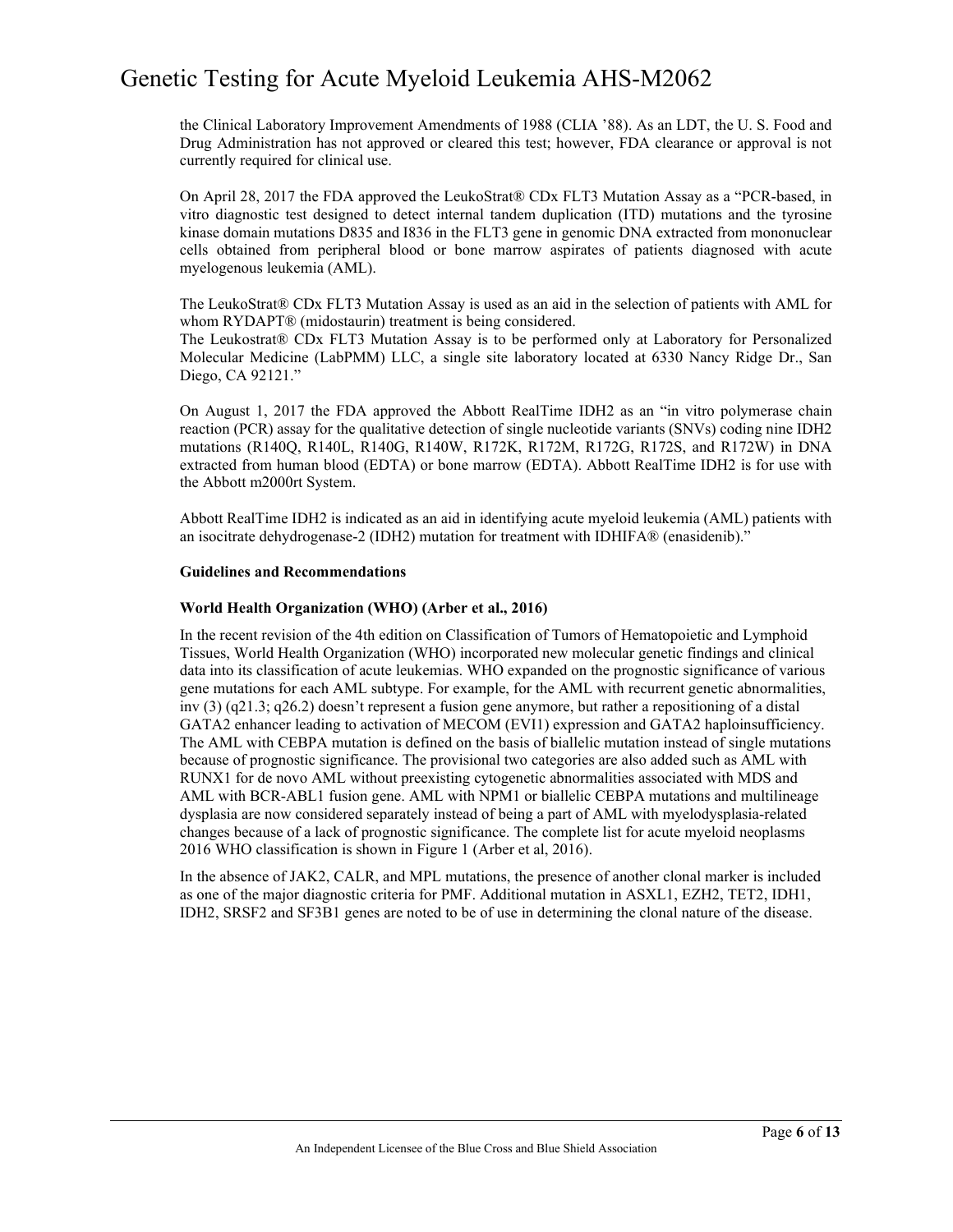the Clinical Laboratory Improvement Amendments of 1988 (CLIA '88). As an LDT, the U. S. Food and Drug Administration has not approved or cleared this test; however, FDA clearance or approval is not currently required for clinical use.

On April 28, 2017 the FDA approved the LeukoStrat® CDx FLT3 Mutation Assay as a "PCR-based, in vitro diagnostic test designed to detect internal tandem duplication (ITD) mutations and the tyrosine kinase domain mutations D835 and I836 in the FLT3 gene in genomic DNA extracted from mononuclear cells obtained from peripheral blood or bone marrow aspirates of patients diagnosed with acute myelogenous leukemia (AML).

The LeukoStrat® CDx FLT3 Mutation Assay is used as an aid in the selection of patients with AML for whom RYDAPT® (midostaurin) treatment is being considered.

The Leukostrat® CDx FLT3 Mutation Assay is to be performed only at Laboratory for Personalized Molecular Medicine (LabPMM) LLC, a single site laboratory located at 6330 Nancy Ridge Dr., San Diego, CA 92121."

On August 1, 2017 the FDA approved the Abbott RealTime IDH2 as an "in vitro polymerase chain reaction (PCR) assay for the qualitative detection of single nucleotide variants (SNVs) coding nine IDH2 mutations (R140Q, R140L, R140G, R140W, R172K, R172M, R172G, R172S, and R172W) in DNA extracted from human blood (EDTA) or bone marrow (EDTA). Abbott RealTime IDH2 is for use with the Abbott m2000rt System.

Abbott RealTime IDH2 is indicated as an aid in identifying acute myeloid leukemia (AML) patients with an isocitrate dehydrogenase-2 (IDH2) mutation for treatment with IDHIFA® (enasidenib)."

#### **Guidelines and Recommendations**

#### **World Health Organization (WHO) (Arber et al., 2016)**

In the recent revision of the 4th edition on Classification of Tumors of Hematopoietic and Lymphoid Tissues, World Health Organization (WHO) incorporated new molecular genetic findings and clinical data into its classification of acute leukemias. WHO expanded on the prognostic significance of various gene mutations for each AML subtype. For example, for the AML with recurrent genetic abnormalities, inv (3) (q21.3; q26.2) doesn't represent a fusion gene anymore, but rather a repositioning of a distal GATA2 enhancer leading to activation of MECOM (EVI1) expression and GATA2 haploinsufficiency. The AML with CEBPA mutation is defined on the basis of biallelic mutation instead of single mutations because of prognostic significance. The provisional two categories are also added such as AML with RUNX1 for de novo AML without preexisting cytogenetic abnormalities associated with MDS and AML with BCR-ABL1 fusion gene. AML with NPM1 or biallelic CEBPA mutations and multilineage dysplasia are now considered separately instead of being a part of AML with myelodysplasia-related changes because of a lack of prognostic significance. The complete list for acute myeloid neoplasms 2016 WHO classification is shown in Figure 1 (Arber et al, 2016).

In the absence of JAK2, CALR, and MPL mutations, the presence of another clonal marker is included as one of the major diagnostic criteria for PMF. Additional mutation in ASXL1, EZH2, TET2, IDH1, IDH2, SRSF2 and SF3B1 genes are noted to be of use in determining the clonal nature of the disease.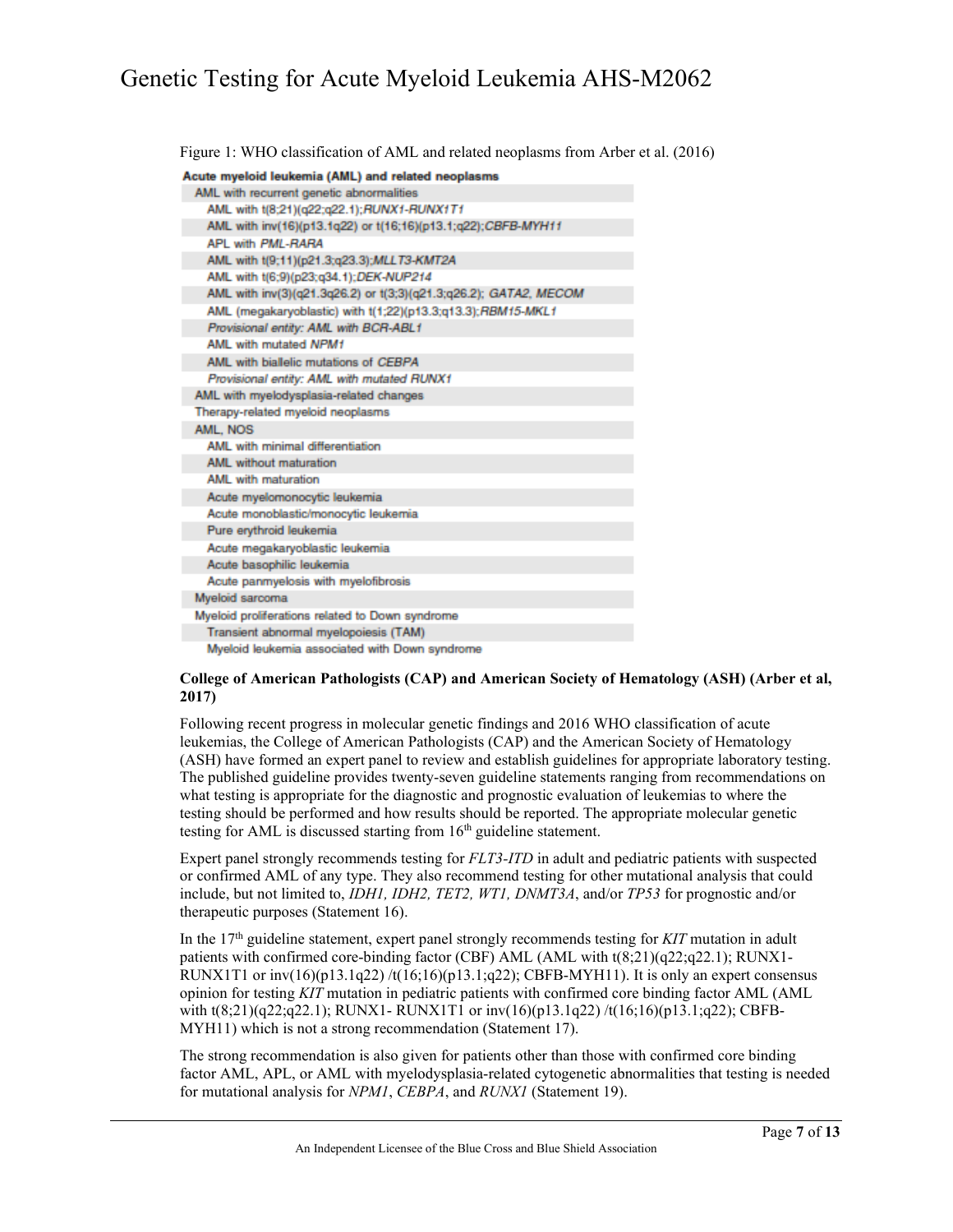Figure 1: WHO classification of AML and related neoplasms from Arber et al. (2016)

| Acute myeloid leukemia (AML) and related neoplasms               |  |  |
|------------------------------------------------------------------|--|--|
| AML with recurrent genetic abnormalities                         |  |  |
| AML with t(8:21)(q22:q22.1); RUNX1-RUNX1T1                       |  |  |
| AML with inv(16)(p13.1q22) or t(16;16)(p13.1;q22);CBFB-MYH11     |  |  |
| APL with PML-RARA                                                |  |  |
| AML with t(9;11)(p21.3;q23.3);MLLT3-KMT2A                        |  |  |
| AML with t(6:9)(p23;q34.1);DEK-NUP214                            |  |  |
| AML with inv(3)(q21.3q26.2) or t(3;3)(q21.3;q26.2); GATA2, MECOM |  |  |
| AML (megakaryoblastic) with t(1:22)(p13.3:g13.3): RBM15-MKL1     |  |  |
| Provisional entity: AML with BCR-ABL1                            |  |  |
| AML with mutated NPM1                                            |  |  |
| AML with biallelic mutations of CEBPA                            |  |  |
| Provisional entity: AML with mutated RUNX1                       |  |  |
| AML with myelodysplasia-related changes                          |  |  |
| Therapy-related myeloid neoplasms                                |  |  |
| AML. NOS                                                         |  |  |
| AML with minimal differentiation                                 |  |  |
| AML without maturation                                           |  |  |
| AMI with maturation                                              |  |  |
| Acute myelomonocytic leukemia                                    |  |  |
| Acute monoblastic/monocytic leukemia                             |  |  |
| Pure erythroid leukemia                                          |  |  |
| Acute megakaryoblastic leukemia                                  |  |  |
| Acute basophilic leukemia                                        |  |  |
| Acute panmyelosis with myelofibrosis                             |  |  |
| Myeloid sarcoma                                                  |  |  |
| Myeloid proliferations related to Down syndrome                  |  |  |
| Transient abnormal myelopoiesis (TAM)                            |  |  |
| Myeloid leukemia associated with Down syndrome                   |  |  |

#### **College of American Pathologists (CAP) and American Society of Hematology (ASH) (Arber et al, 2017)**

Following recent progress in molecular genetic findings and 2016 WHO classification of acute leukemias, the College of American Pathologists (CAP) and the American Society of Hematology (ASH) have formed an expert panel to review and establish guidelines for appropriate laboratory testing. The published guideline provides twenty-seven guideline statements ranging from recommendations on what testing is appropriate for the diagnostic and prognostic evaluation of leukemias to where the testing should be performed and how results should be reported. The appropriate molecular genetic testing for AML is discussed starting from  $16<sup>th</sup>$  guideline statement.

Expert panel strongly recommends testing for *FLT3-ITD* in adult and pediatric patients with suspected or confirmed AML of any type. They also recommend testing for other mutational analysis that could include, but not limited to, *IDH1, IDH2, TET2, WT1, DNMT3A*, and/or *TP53* for prognostic and/or therapeutic purposes (Statement 16).

In the 17th guideline statement, expert panel strongly recommends testing for *KIT* mutation in adult patients with confirmed core-binding factor (CBF) AML (AML with t(8;21)(q22;q22.1); RUNX1- RUNX1T1 or inv(16)(p13.1q22) /t(16;16)(p13.1;q22); CBFB-MYH11). It is only an expert consensus opinion for testing *KIT* mutation in pediatric patients with confirmed core binding factor AML (AML with t(8;21)(q22;q22.1); RUNX1- RUNX1T1 or inv(16)(p13.1q22) /t(16;16)(p13.1;q22); CBFB-MYH11) which is not a strong recommendation (Statement 17).

The strong recommendation is also given for patients other than those with confirmed core binding factor AML, APL, or AML with myelodysplasia-related cytogenetic abnormalities that testing is needed for mutational analysis for *NPM1*, *CEBPA*, and *RUNX1* (Statement 19).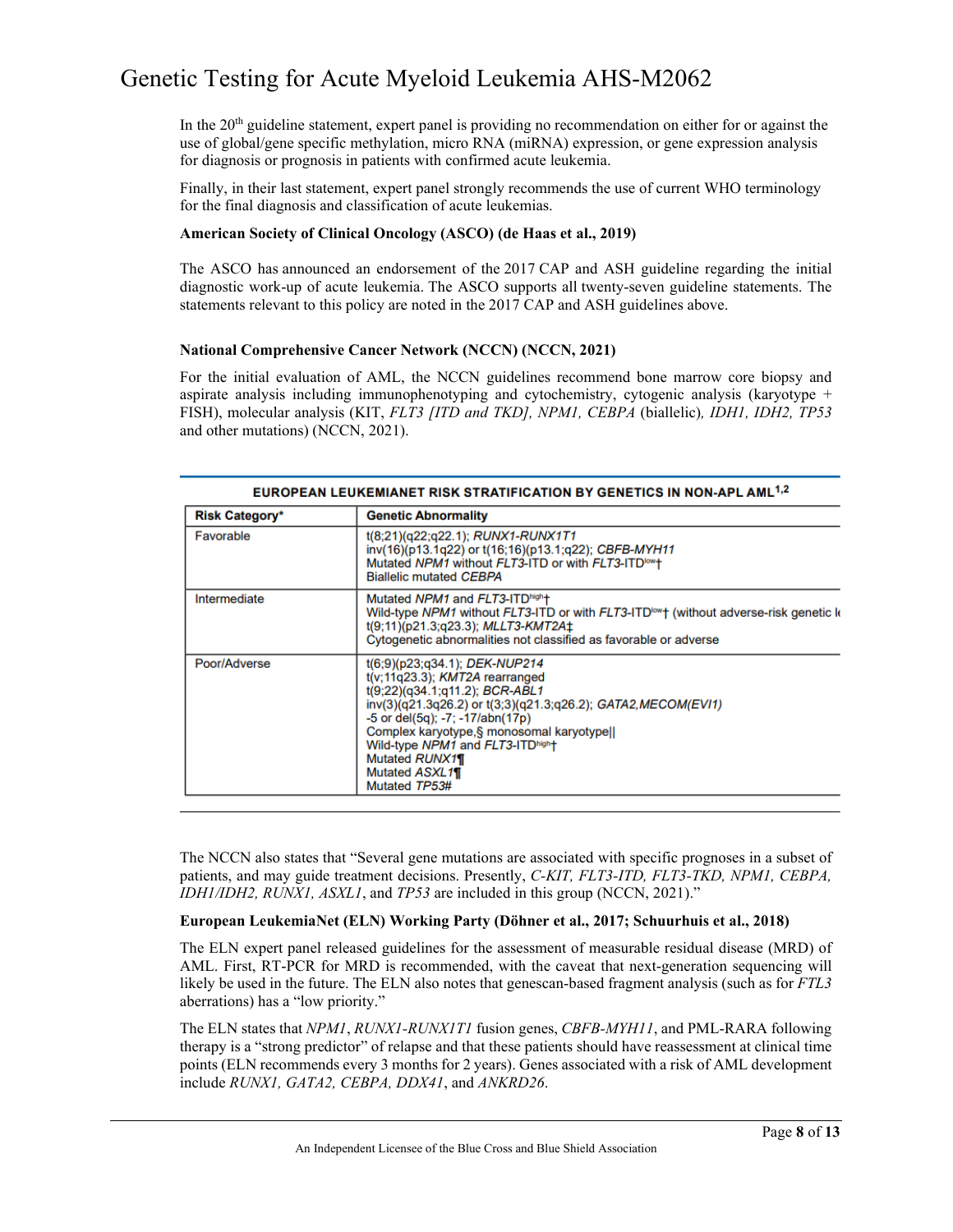In the 20th guideline statement, expert panel is providing no recommendation on either for or against the use of global/gene specific methylation, micro RNA (miRNA) expression, or gene expression analysis for diagnosis or prognosis in patients with confirmed acute leukemia.

Finally, in their last statement, expert panel strongly recommends the use of current WHO terminology for the final diagnosis and classification of acute leukemias.

#### **American Society of Clinical Oncology (ASCO) (de Haas et al., 2019)**

The ASCO has announced an endorsement of the 2017 CAP and ASH guideline regarding the initial diagnostic work-up of acute leukemia. The ASCO supports all twenty-seven guideline statements. The statements relevant to this policy are noted in the 2017 CAP and ASH guidelines above.

#### **National Comprehensive Cancer Network (NCCN) (NCCN, 2021)**

For the initial evaluation of AML, the NCCN guidelines recommend bone marrow core biopsy and aspirate analysis including immunophenotyping and cytochemistry, cytogenic analysis (karyotype + FISH), molecular analysis (KIT, *FLT3 [ITD and TKD], NPM1, CEBPA* (biallelic)*, IDH1, IDH2, TP53*  and other mutations) (NCCN, 2021).

| <b>EUROPEAN LEUKEMIANET RISK STRATIFICATION BY GENETICS IN NON-APL AML !: 4</b> |                                                                                                                                                                                                                                                                                                                                                                |  |
|---------------------------------------------------------------------------------|----------------------------------------------------------------------------------------------------------------------------------------------------------------------------------------------------------------------------------------------------------------------------------------------------------------------------------------------------------------|--|
| <b>Risk Category*</b>                                                           | <b>Genetic Abnormality</b>                                                                                                                                                                                                                                                                                                                                     |  |
| Favorable                                                                       | $t(8;21)(q22;q22.1);$ RUNX1-RUNX1T1<br>inv(16)(p13.1q22) or t(16;16)(p13.1;q22); CBFB-MYH11<br>Mutated NPM1 without FLT3-ITD or with FLT3-ITD <sup>low</sup> t<br><b>Biallelic mutated CEBPA</b>                                                                                                                                                               |  |
| Intermediate                                                                    | Mutated NPM1 and FLT3-ITD <sup>high</sup> t<br>Wild-type NPM1 without FLT3-ITD or with FLT3-ITD <sup>low</sup> + (without adverse-risk genetic k<br>$t(9;11)(p21.3;q23.3); \text{MLLT3-KMT2A}$<br>Cytogenetic abnormalities not classified as favorable or adverse                                                                                             |  |
| Poor/Adverse                                                                    | $t(6,9)(p23,q34.1);$ DEK-NUP214<br>$t(v; 11q23.3)$ ; KMT2A rearranged<br>$t(9;22)(q34.1;q11.2); BCR-ABL1$<br>inv(3)(q21.3q26.2) or t(3;3)(q21.3;q26.2); GATA2, MECOM(EVI1)<br>$-5$ or del $(5q)$ ; $-7$ ; $-17/abn(17p)$<br>Complex karyotype.§ monosomal karyotypell<br>Wild-type NPM1 and FLT3-ITDhigh+<br>Mutated RUNX11<br>Mutated ASXL11<br>Mutated TP53# |  |

The NCCN also states that "Several gene mutations are associated with specific prognoses in a subset of patients, and may guide treatment decisions. Presently, *C-KIT, FLT3-ITD, FLT3-TKD, NPM1, CEBPA, IDH1/IDH2, RUNX1, ASXL1*, and *TP53* are included in this group (NCCN, 2021)."

#### **European LeukemiaNet (ELN) Working Party (Döhner et al., 2017; Schuurhuis et al., 2018)**

The ELN expert panel released guidelines for the assessment of measurable residual disease (MRD) of AML. First, RT-PCR for MRD is recommended, with the caveat that next-generation sequencing will likely be used in the future. The ELN also notes that genescan-based fragment analysis (such as for *FTL3* aberrations) has a "low priority."

The ELN states that *NPM1*, *RUNX1-RUNX1T1* fusion genes, *CBFB-MYH11*, and PML-RARA following therapy is a "strong predictor" of relapse and that these patients should have reassessment at clinical time points (ELN recommends every 3 months for 2 years). Genes associated with a risk of AML development include *RUNX1, GATA2, CEBPA, DDX41*, and *ANKRD26*.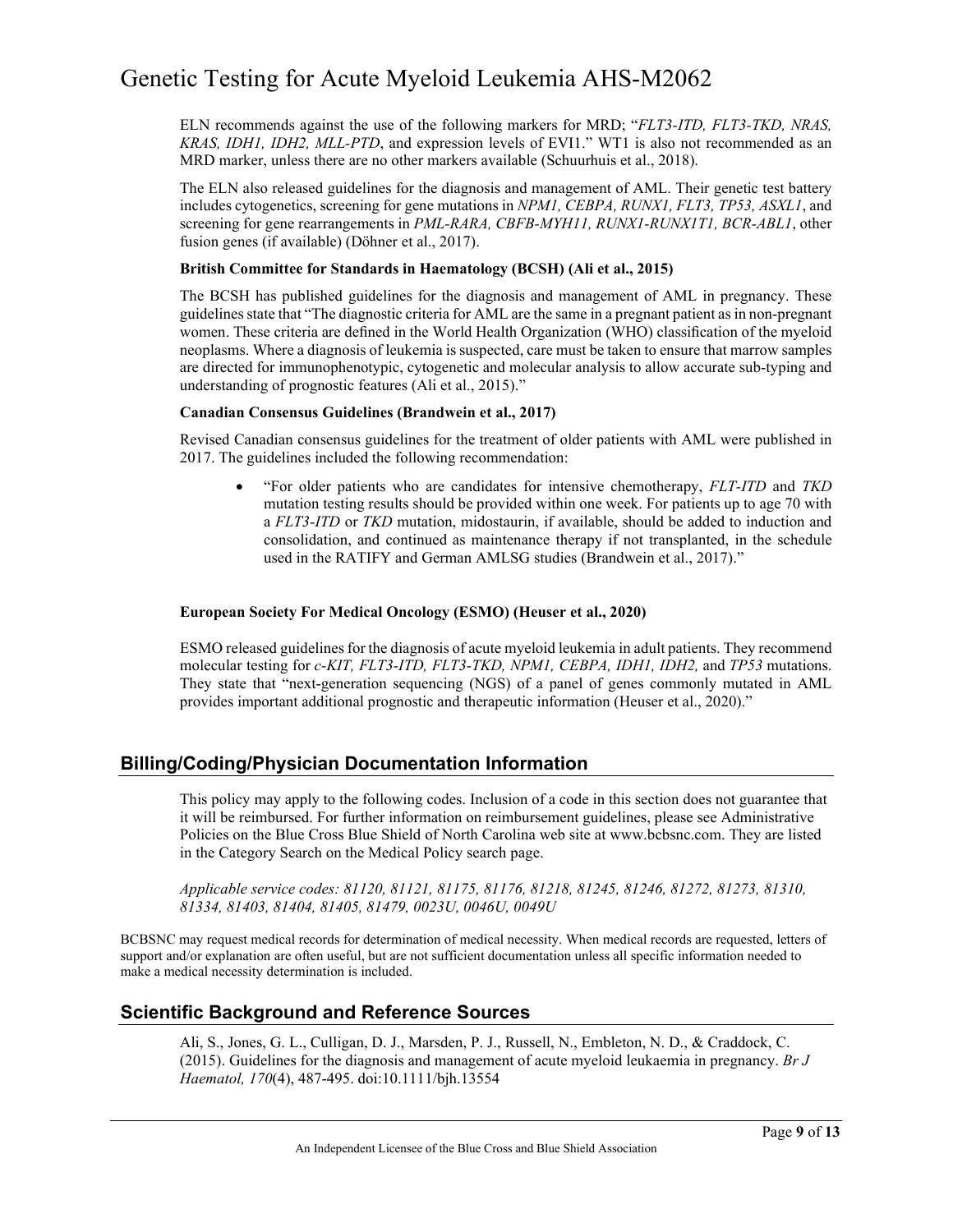ELN recommends against the use of the following markers for MRD; "*FLT3-ITD, FLT3-TKD, NRAS, KRAS, IDH1, IDH2, MLL-PTD*, and expression levels of EVI1." WT1 is also not recommended as an MRD marker, unless there are no other markers available (Schuurhuis et al., 2018).

The ELN also released guidelines for the diagnosis and management of AML. Their genetic test battery includes cytogenetics, screening for gene mutations in *NPM1, CEBPA, RUNX1, FLT3, TP53, ASXL1*, and screening for gene rearrangements in *PML-RARA, CBFB-MYH11, RUNX1-RUNX1T1, BCR-ABL1*, other fusion genes (if available) (Döhner et al., 2017).

#### **British Committee for Standards in Haematology (BCSH) (Ali et al., 2015)**

The BCSH has published guidelines for the diagnosis and management of AML in pregnancy. These guidelines state that "The diagnostic criteria for AML are the same in a pregnant patient as in non-pregnant women. These criteria are defined in the World Health Organization (WHO) classification of the myeloid neoplasms. Where a diagnosis of leukemia is suspected, care must be taken to ensure that marrow samples are directed for immunophenotypic, cytogenetic and molecular analysis to allow accurate sub-typing and understanding of prognostic features (Ali et al., 2015)."

#### **Canadian Consensus Guidelines (Brandwein et al., 2017)**

Revised Canadian consensus guidelines for the treatment of older patients with AML were published in 2017. The guidelines included the following recommendation:

• "For older patients who are candidates for intensive chemotherapy, *FLT-ITD* and *TKD* mutation testing results should be provided within one week. For patients up to age 70 with a *FLT3-ITD* or *TKD* mutation, midostaurin, if available, should be added to induction and consolidation, and continued as maintenance therapy if not transplanted, in the schedule used in the RATIFY and German AMLSG studies (Brandwein et al., 2017)."

#### **European Society For Medical Oncology (ESMO) (Heuser et al., 2020)**

ESMO released guidelines for the diagnosis of acute myeloid leukemia in adult patients. They recommend molecular testing for *c-KIT, FLT3-ITD, FLT3-TKD, NPM1, CEBPA, IDH1, IDH2,* and *TP53* mutations. They state that "next-generation sequencing (NGS) of a panel of genes commonly mutated in AML provides important additional prognostic and therapeutic information (Heuser et al., 2020)."

### **Billing/Coding/Physician Documentation Information**

This policy may apply to the following codes. Inclusion of a code in this section does not guarantee that it will be reimbursed. For further information on reimbursement guidelines, please see Administrative Policies on the Blue Cross Blue Shield of North Carolina web site at www.bcbsnc.com. They are listed in the Category Search on the Medical Policy search page.

*Applicable service codes: 81120, 81121, 81175, 81176, 81218, 81245, 81246, 81272, 81273, 81310, 81334, 81403, 81404, 81405, 81479, 0023U, 0046U, 0049U*

BCBSNC may request medical records for determination of medical necessity. When medical records are requested, letters of support and/or explanation are often useful, but are not sufficient documentation unless all specific information needed to make a medical necessity determination is included.

### **Scientific Background and Reference Sources**

Ali, S., Jones, G. L., Culligan, D. J., Marsden, P. J., Russell, N., Embleton, N. D., & Craddock, C. (2015). Guidelines for the diagnosis and management of acute myeloid leukaemia in pregnancy. *Br J Haematol, 170*(4), 487-495. doi:10.1111/bjh.13554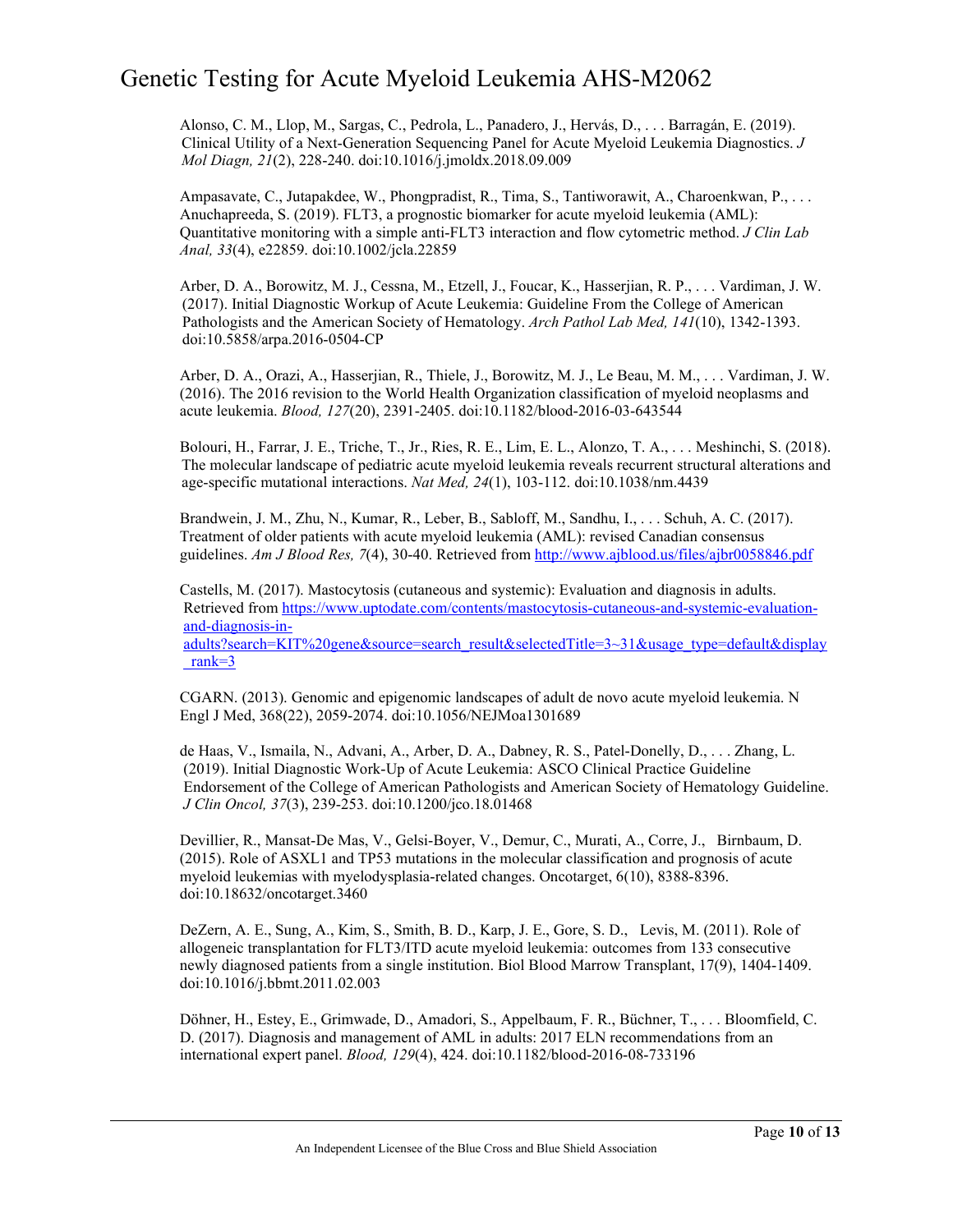Alonso, C. M., Llop, M., Sargas, C., Pedrola, L., Panadero, J., Hervás, D., . . . Barragán, E. (2019). Clinical Utility of a Next-Generation Sequencing Panel for Acute Myeloid Leukemia Diagnostics. *J Mol Diagn, 21*(2), 228-240. doi:10.1016/j.jmoldx.2018.09.009

Ampasavate, C., Jutapakdee, W., Phongpradist, R., Tima, S., Tantiworawit, A., Charoenkwan, P., . . . Anuchapreeda, S. (2019). FLT3, a prognostic biomarker for acute myeloid leukemia (AML): Quantitative monitoring with a simple anti-FLT3 interaction and flow cytometric method. *J Clin Lab Anal, 33*(4), e22859. doi:10.1002/jcla.22859

Arber, D. A., Borowitz, M. J., Cessna, M., Etzell, J., Foucar, K., Hasserjian, R. P., . . . Vardiman, J. W. (2017). Initial Diagnostic Workup of Acute Leukemia: Guideline From the College of American Pathologists and the American Society of Hematology. *Arch Pathol Lab Med, 141*(10), 1342-1393. doi:10.5858/arpa.2016-0504-CP

Arber, D. A., Orazi, A., Hasserjian, R., Thiele, J., Borowitz, M. J., Le Beau, M. M., . . . Vardiman, J. W. (2016). The 2016 revision to the World Health Organization classification of myeloid neoplasms and acute leukemia. *Blood, 127*(20), 2391-2405. doi:10.1182/blood-2016-03-643544

Bolouri, H., Farrar, J. E., Triche, T., Jr., Ries, R. E., Lim, E. L., Alonzo, T. A., . . . Meshinchi, S. (2018). The molecular landscape of pediatric acute myeloid leukemia reveals recurrent structural alterations and age-specific mutational interactions. *Nat Med, 24*(1), 103-112. doi:10.1038/nm.4439

Brandwein, J. M., Zhu, N., Kumar, R., Leber, B., Sabloff, M., Sandhu, I., . . . Schuh, A. C. (2017). Treatment of older patients with acute myeloid leukemia (AML): revised Canadian consensus guidelines. *Am J Blood Res, 7*(4), 30-40. Retrieved fro[m http://www.ajblood.us/files/ajbr0058846.pdf](http://www.ajblood.us/files/ajbr0058846.pdf)

Castells, M. (2017). Mastocytosis (cutaneous and systemic): Evaluation and diagnosis in adults. Retrieved from [https://www.uptodate.com/contents/mastocytosis-cutaneous-and-systemic-evaluation](https://www.uptodate.com/contents/mastocytosis-cutaneous-and-systemic-evaluation-and-diagnosis-in-adults?search=KIT%20gene&source=search_result&selectedTitle=3%7E31&usage_type=default&display_rank=3)[and-diagnosis-in-](https://www.uptodate.com/contents/mastocytosis-cutaneous-and-systemic-evaluation-and-diagnosis-in-adults?search=KIT%20gene&source=search_result&selectedTitle=3%7E31&usage_type=default&display_rank=3)

[adults?search=KIT%20gene&source=search\\_result&selectedTitle=3~31&usage\\_type=default&displa](https://www.uptodate.com/contents/mastocytosis-cutaneous-and-systemic-evaluation-and-diagnosis-in-adults?search=KIT%20gene&source=search_result&selectedTitle=3%7E31&usage_type=default&display_rank=3)y [\\_rank=3](https://www.uptodate.com/contents/mastocytosis-cutaneous-and-systemic-evaluation-and-diagnosis-in-adults?search=KIT%20gene&source=search_result&selectedTitle=3%7E31&usage_type=default&display_rank=3)

CGARN. (2013). Genomic and epigenomic landscapes of adult de novo acute myeloid leukemia. N Engl J Med, 368(22), 2059-2074. doi:10.1056/NEJMoa1301689

de Haas, V., Ismaila, N., Advani, A., Arber, D. A., Dabney, R. S., Patel-Donelly, D., . . . Zhang, L. (2019). Initial Diagnostic Work-Up of Acute Leukemia: ASCO Clinical Practice Guideline Endorsement of the College of American Pathologists and American Society of Hematology Guideline. *J Clin Oncol, 37*(3), 239-253. doi:10.1200/jco.18.01468

Devillier, R., Mansat-De Mas, V., Gelsi-Boyer, V., Demur, C., Murati, A., Corre, J., Birnbaum, D. (2015). Role of ASXL1 and TP53 mutations in the molecular classification and prognosis of acute myeloid leukemias with myelodysplasia-related changes. Oncotarget, 6(10), 8388-8396. doi:10.18632/oncotarget.3460

DeZern, A. E., Sung, A., Kim, S., Smith, B. D., Karp, J. E., Gore, S. D., Levis, M. (2011). Role of allogeneic transplantation for FLT3/ITD acute myeloid leukemia: outcomes from 133 consecutive newly diagnosed patients from a single institution. Biol Blood Marrow Transplant, 17(9), 1404-1409. doi:10.1016/j.bbmt.2011.02.003

Döhner, H., Estey, E., Grimwade, D., Amadori, S., Appelbaum, F. R., Büchner, T., . . . Bloomfield, C. D. (2017). Diagnosis and management of AML in adults: 2017 ELN recommendations from an international expert panel. *Blood, 129*(4), 424. doi:10.1182/blood-2016-08-733196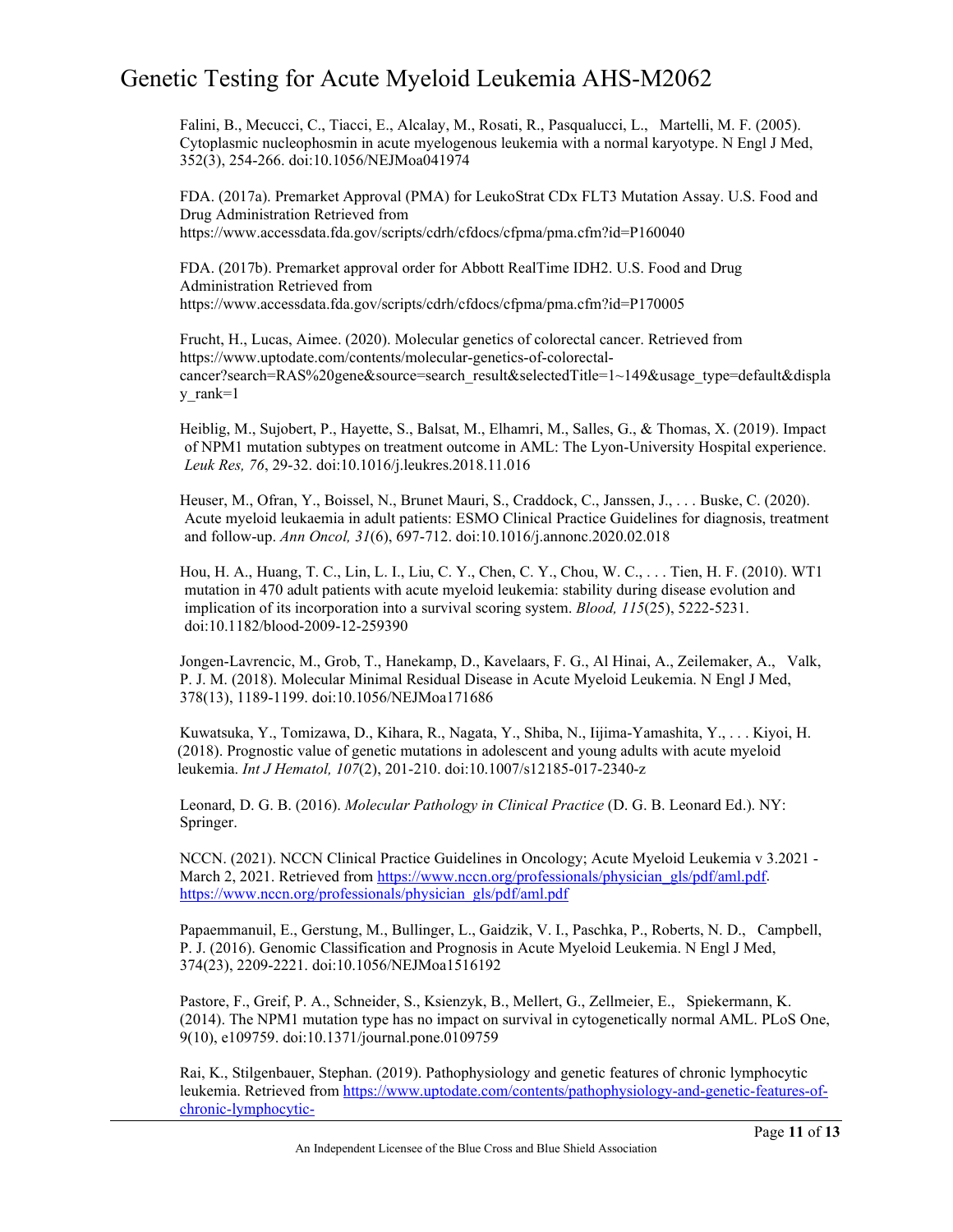Falini, B., Mecucci, C., Tiacci, E., Alcalay, M., Rosati, R., Pasqualucci, L., Martelli, M. F. (2005). Cytoplasmic nucleophosmin in acute myelogenous leukemia with a normal karyotype. N Engl J Med, 352(3), 254-266. doi:10.1056/NEJMoa041974

FDA. (2017a). Premarket Approval (PMA) for LeukoStrat CDx FLT3 Mutation Assay. U.S. Food and Drug Administration Retrieved from <https://www.accessdata.fda.gov/scripts/cdrh/cfdocs/cfpma/pma.cfm?id=P160040>

FDA. (2017b). Premarket approval order for Abbott RealTime IDH2. U.S. Food and Drug Administration Retrieved from [https://www.accessdata.fda.gov/scripts/cdrh/cfdoc](https://www.accessdata.fda.gov/scripts/cdrh/cfdocs/cfpma/pma.cfm?id=P170005)s/cfpma/pma.cfm?id=P170005

Frucht, H., Lucas, Aimee. (2020). Molecular genetics of colorectal cancer. Retrieved from https://www.uptodate.com/contents/molecular-genetics-of-colorectalcancer?search=RAS%20gene&source=search\_result&selectedTitle=1~149&usage\_type=default&displa y\_rank=1

Heiblig, M., Sujobert, P., Hayette, S., Balsat, M., Elhamri, M., Salles, G., & Thomas, X. (2019). Impact of NPM1 mutation subtypes on treatment outcome in AML: The Lyon-University Hospital experience. *Leuk Res, 76*, 29-32. doi:10.1016/j.leukres.2018.11.016

Heuser, M., Ofran, Y., Boissel, N., Brunet Mauri, S., Craddock, C., Janssen, J., . . . Buske, C. (2020). Acute myeloid leukaemia in adult patients: ESMO Clinical Practice Guidelines for diagnosis, treatment and follow-up. *Ann Oncol, 31*(6), 697-712. doi:10.1016/j.annonc.2020.02.018

Hou, H. A., Huang, T. C., Lin, L. I., Liu, C. Y., Chen, C. Y., Chou, W. C., . . . Tien, H. F. (2010). WT1 mutation in 470 adult patients with acute myeloid leukemia: stability during disease evolution and implication of its incorporation into a survival scoring system. *Blood, 115*(25), 5222-5231. doi:10.1182/blood-2009-12-259390

Jongen-Lavrencic, M., Grob, T., Hanekamp, D., Kavelaars, F. G., Al Hinai, A., Zeilemaker, A., Valk, P. J. M. (2018). Molecular Minimal Residual Disease in Acute Myeloid Leukemia. N Engl J Med, 378(13), 1189-1199. doi:10.1056/NEJMoa171686

Kuwatsuka, Y., Tomizawa, D., Kihara, R., Nagata, Y., Shiba, N., Iijima-Yamashita, Y., . . . Kiyoi, H. (2018). Prognostic value of genetic mutations in adolescent and young adults with acute myeloid leukemia. *Int J Hematol, 107*(2), 201-210. doi:10.1007/s12185-017-2340-z

Leonard, D. G. B. (2016). *Molecular Pathology in Clinical Practice* (D. G. B. Leonard Ed.). NY: Springer.

NCCN. (2021). NCCN Clinical Practice Guidelines in Oncology; Acute Myeloid Leukemia v 3.2021 March 2, 2021. Retrieved from [https://www.nccn.org/professionals/physician\\_gls/pdf/aml.pdf.](https://www.nccn.org/professionals/physician_gls/pdf/aml.pdf) [https://www.nccn.org/professionals/physician\\_gls/pdf/aml.pdf](https://www.nccn.org/professionals/physician_gls/pdf/aml.pdf)

Papaemmanuil, E., Gerstung, M., Bullinger, L., Gaidzik, V. I., Paschka, P., Roberts, N. D., Campbell, P. J. (2016). Genomic Classification and Prognosis in Acute Myeloid Leukemia. N Engl J Med, 374(23), 2209-2221. doi:10.1056/NEJMoa1516192

Pastore, F., Greif, P. A., Schneider, S., Ksienzyk, B., Mellert, G., Zellmeier, E., Spiekermann, K. (2014). The NPM1 mutation type has no impact on survival in cytogenetically normal AML. PLoS One, 9(10), e109759. doi:10.1371/journal.pone.0109759

Rai, K., Stilgenbauer, Stephan. (2019). Pathophysiology and genetic features of chronic lymphocytic leukemia. Retrieved fro[m https://www.uptodate.com/contents/pathophysiology-and-genetic-features-of](https://www.uptodate.com/contents/pathophysiology-and-genetic-features-of-chronic-lymphocytic-leukemia?search=TP53&source=search_result&selectedTitle=3%7E125&usage_type=default&display_rank=3)[chronic-lymphocytic-](https://www.uptodate.com/contents/pathophysiology-and-genetic-features-of-chronic-lymphocytic-leukemia?search=TP53&source=search_result&selectedTitle=3%7E125&usage_type=default&display_rank=3)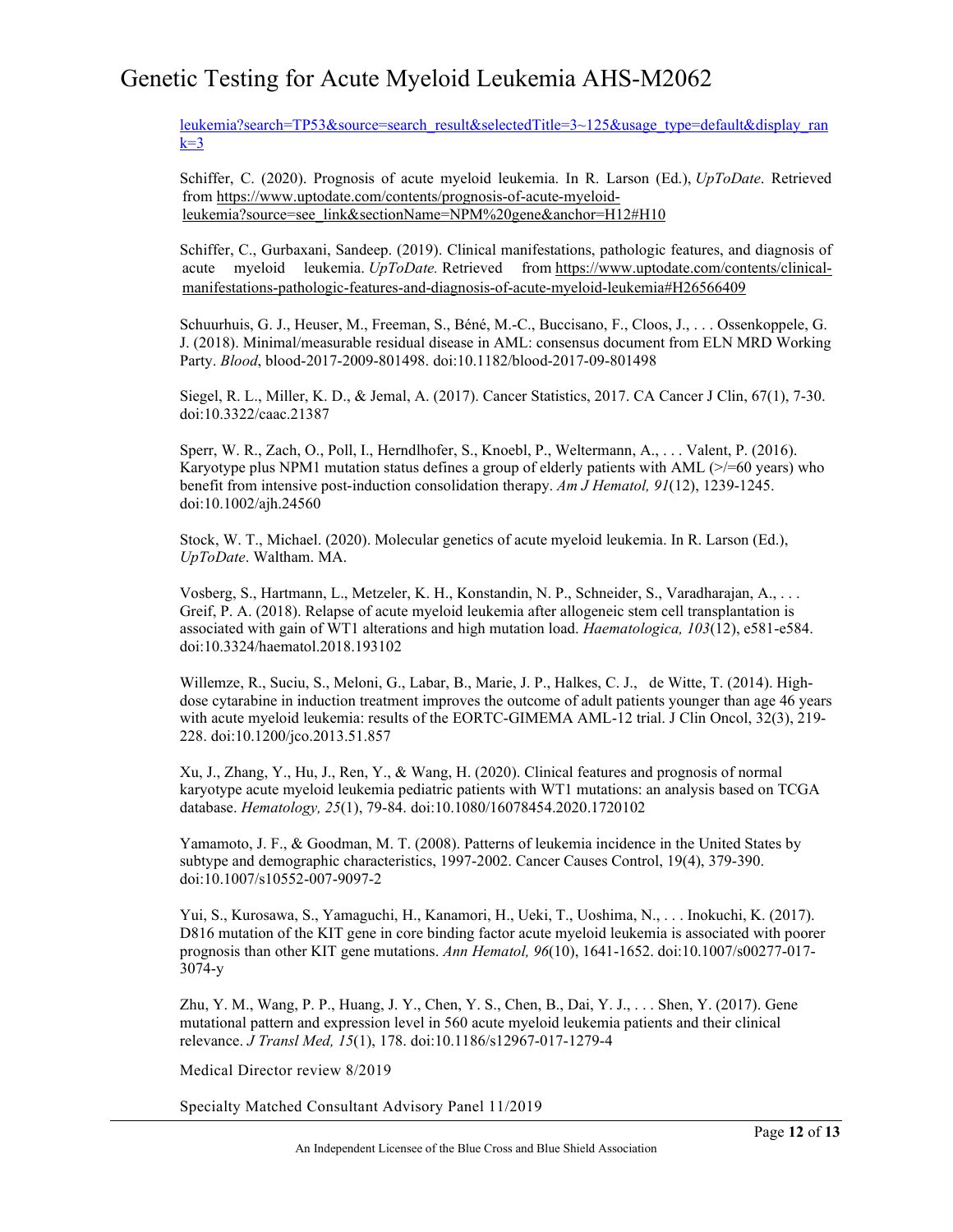[leukemia?search=TP53&source=search\\_result&selectedTitle=3~125&usage\\_type=default&display\\_ran](https://www.uptodate.com/contents/pathophysiology-and-genetic-features-of-chronic-lymphocytic-leukemia?search=TP53&source=search_result&selectedTitle=3%7E125&usage_type=default&display_rank=3)  $k=3$ 

Schiffer, C. (2020). Prognosis of acute myeloid leukemia. In R. Larson (Ed.), *UpToDate*. Retrieved from [https://www.uptodate.com/contents/prognosis-of-acute-myeloid](https://www.uptodate.com/contents/prognosis-of-acute-myeloid-leukemia?source=see_link§ionName=NPM%20gene&anchor=H12#H10)[leukemia?source=see\\_link&sectionName=NPM%20gene&anchor=H12#H10](https://www.uptodate.com/contents/prognosis-of-acute-myeloid-leukemia?source=see_link§ionName=NPM%20gene&anchor=H12#H10)

Schiffer, C., Gurbaxani, Sandeep. (2019). Clinical manifestations, pathologic features, and diagnosis of acute myeloid leukemia. *UpToDate.* Retrieved from [https://www.uptodate.com/contents/clinical](https://www.uptodate.com/contents/clinical-manifestations-pathologic-features-and-diagnosis-of-acute-myeloid-leukemia#H26566409)[manifestations-pathologic-features-and-diagnosis-of-acute-myeloid-](https://www.uptodate.com/contents/clinical-manifestations-pathologic-features-and-diagnosis-of-acute-myeloid-leukemia#H26566409)leukemia#H26566409

Schuurhuis, G. J., Heuser, M., Freeman, S., Béné, M.-C., Buccisano, F., Cloos, J., . . . Ossenkoppele, G. J. (2018). Minimal/measurable residual disease in AML: consensus document from ELN MRD Working Party. *Blood*, blood-2017-2009-801498. doi:10.1182/blood-2017-09-801498

Siegel, R. L., Miller, K. D., & Jemal, A. (2017). Cancer Statistics, 2017. CA Cancer J Clin, 67(1), 7-30. doi:10.3322/caac.21387

Sperr, W. R., Zach, O., Poll, I., Herndlhofer, S., Knoebl, P., Weltermann, A., . . . Valent, P. (2016). Karyotype plus NPM1 mutation status defines a group of elderly patients with AML ( $\ge$ /=60 years) who benefit from intensive post-induction consolidation therapy. *Am J Hematol, 91*(12), 1239-1245. doi:10.1002/ajh.24560

Stock, W. T., Michael. (2020). Molecular genetics of acute myeloid leukemia. In R. Larson (Ed.), *UpToDate*. Waltham. MA.

Vosberg, S., Hartmann, L., Metzeler, K. H., Konstandin, N. P., Schneider, S., Varadharajan, A., . . . Greif, P. A. (2018). Relapse of acute myeloid leukemia after allogeneic stem cell transplantation is associated with gain of WT1 alterations and high mutation load. *Haematologica, 103*(12), e581-e584. doi:10.3324/haematol.2018.193102

Willemze, R., Suciu, S., Meloni, G., Labar, B., Marie, J. P., Halkes, C. J., de Witte, T. (2014). Highdose cytarabine in induction treatment improves the outcome of adult patients younger than age 46 years with acute myeloid leukemia: results of the EORTC-GIMEMA AML-12 trial. J Clin Oncol, 32(3), 219- 228. doi:10.1200/jco.2013.51.857

Xu, J., Zhang, Y., Hu, J., Ren, Y., & Wang, H. (2020). Clinical features and prognosis of normal karyotype acute myeloid leukemia pediatric patients with WT1 mutations: an analysis based on TCGA database. *Hematology, 25*(1), 79-84. doi:10.1080/16078454.2020.1720102

Yamamoto, J. F., & Goodman, M. T. (2008). Patterns of leukemia incidence in the United States by subtype and demographic characteristics, 1997-2002. Cancer Causes Control, 19(4), 379-390. doi:10.1007/s10552-007-9097-2

Yui, S., Kurosawa, S., Yamaguchi, H., Kanamori, H., Ueki, T., Uoshima, N., . . . Inokuchi, K. (2017). D816 mutation of the KIT gene in core binding factor acute myeloid leukemia is associated with poorer prognosis than other KIT gene mutations. *Ann Hematol, 96*(10), 1641-1652. doi:10.1007/s00277-017- 3074-y

Zhu, Y. M., Wang, P. P., Huang, J. Y., Chen, Y. S., Chen, B., Dai, Y. J., . . . Shen, Y. (2017). Gene mutational pattern and expression level in 560 acute myeloid leukemia patients and their clinical relevance. *J Transl Med, 15*(1), 178. doi:10.1186/s12967-017-1279-4

Medical Director review 8/2019

Specialty Matched Consultant Advisory Panel 11/2019